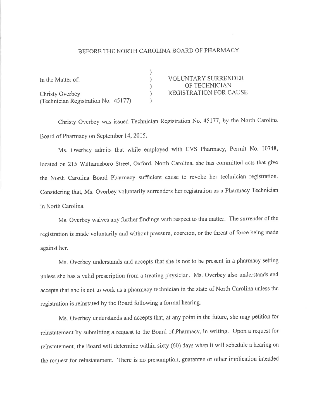## BEFORE THE NORTH CAROLINA BOARD OF PHARMACY

| In the Matter of:                   | <b>VOLUNTARY SURRENDER</b>    |
|-------------------------------------|-------------------------------|
|                                     | OF TECHNICIAN                 |
| <b>Christy Overbey</b>              | <b>REGISTRATION FOR CAUSE</b> |
| (Technician Registration No. 45177) |                               |

Christy Overbey was issued Technician Registration No. 45177, by the North Carolina Board of Pharmacy on September 14, 2015.

Ms. Overbey ndmits that while employed with CVS Pharmacy, Permit No. 10748, located on 215 Williamsboro Street, Oxford, North Carolina, she has committed acts that give the North Carolina Board Pharmacy sufficient cause to revoke her technician registration. Considering that, Ms. Overbey voluntarily surrenders her registration as a Pharmacy Technician in North Carolina.

Ms. Overbey waives any further findings with respect to this matter. The surrender of the registration is made voluntarily and without pressure, coercion, or the threat of force being made against her.

Ms. Overbey understands and accepts that she is not to be present in a pharmacy setting unless she has a valid prescription from a treating physician. Ms. Overbey also understands and accepts that she is not to work as a pharmacy technician in the state of North Carolina unless the registration is reinstated by the Board following a formal hearing.

Ms. Overbey understands and accepts that, at any point in the future, she may petition for reinstatement by submitting a request to the Board of Pharmacy, in writing. Upon a request for reinstatement, the Baard will determine within sixty (60) days when it will schedule a hearing on the request for reinstatement. There is no presumption, guarantee or other implication intended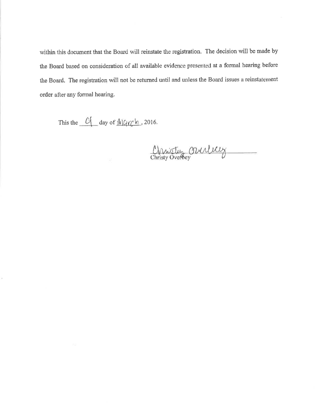within this document that the Board will reinstate the registration. The decision will be made by the Board based on consideration of all available evidence presented at a formal hearing before the Board. The registration will not be returned until and unless the Board issues a reinstatement order after any formal hearing.

This the <sup>0</sup> day of March, 2016.

ï

Christin Orulery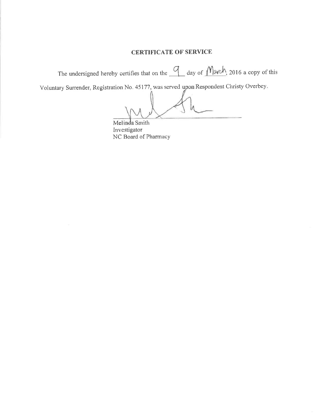## **CERTIFICATE OF SERVICE**

The undersigned hereby certifies that on the  $\frac{q}{q}$  day of  $\frac{M_{\alpha}(\lambda)}{q}$ , 2016 a copy of this

Voluntary Surrender, Registration No. 45177, was served upon Respondent Christy Overbey.

Melinda Smith Investigator NC Board of Pharmacy